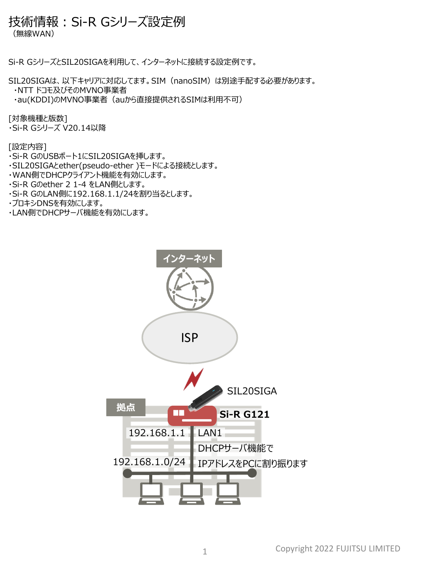## 技術情報:Si-R Gシリーズ設定例

(無線WAN)

Si-R GシリーズとSIL20SIGAを利用して、インターネットに接続する設定例です。

SIL20SIGAは、以下キャリアに対応してます。SIM(nanoSIM)は別途手配する必要があります。

・NTT ドコモ及びそのMVNO事業者

・au(KDDI)のMVNO事業者(auから直接提供されるSIMは利用不可)

[対象機種と版数]

・Si-R Gシリーズ V20.14以降

[設定内容]

・Si-R GのUSBポート1にSIL20SIGAを挿します。

・SIL20SIGAとether(pseudo-ether )モードによる接続とします。

・WAN側でDHCPクライアント機能を有効にします。

・Si-R Gのether 2 1-4 をLAN側とします。

・Si-R GのLAN側に192.168.1.1/24を割り当るとします。

・プロキシDNSを有効にします。

・LAN側でDHCPサーバ機能を有効にします。

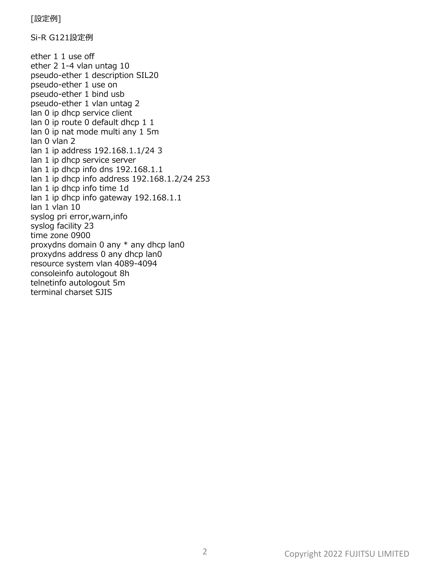[設定例]

Si-R G121設定例

ether 1 1 use off ether 2 1-4 vlan untag 10 pseudo-ether 1 description SIL20 pseudo-ether 1 use on pseudo-ether 1 bind usb pseudo-ether 1 vlan untag 2 lan 0 ip dhcp service client lan 0 ip route 0 default dhcp 1 1 lan 0 ip nat mode multi any 1 5m lan 0 vlan 2 lan 1 ip address 192.168.1.1/24 3 lan 1 ip dhcp service server lan 1 ip dhcp info dns 192.168.1.1 lan 1 ip dhcp info address 192.168.1.2/24 253 lan 1 ip dhcp info time 1d lan 1 ip dhcp info gateway 192.168.1.1 lan 1 vlan 10 syslog pri error,warn,info syslog facility 23 time zone 0900 proxydns domain 0 any \* any dhcp lan0 proxydns address 0 any dhcp lan0 resource system vlan 4089-4094 consoleinfo autologout 8h telnetinfo autologout 5m terminal charset SJIS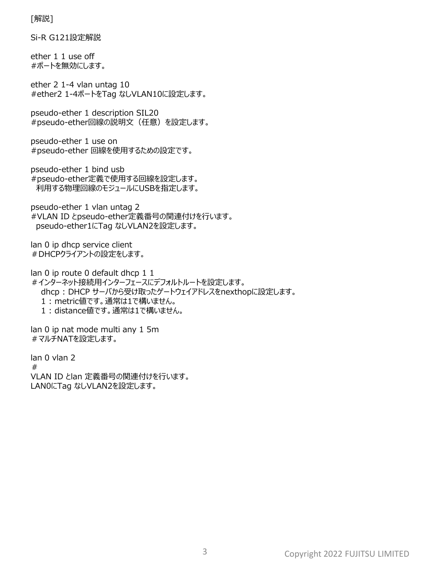[解説]

Si-R G121設定解説

ether 1 1 use off #ポートを無効にします。

ether 2 1-4 vlan untag 10 #ether2 1-4ポートをTag なしVLAN10に設定します。

pseudo-ether 1 description SIL20 #pseudo-ether回線の説明文(任意)を設定します。

pseudo-ether 1 use on #pseudo-ether 回線を使用するための設定です。

pseudo-ether 1 bind usb #pseudo-ether定義で使用する回線を設定します。 利用する物理回線のモジュールにUSBを指定します。

pseudo-ether 1 vlan untag 2 #VLAN ID とpseudo-ether定義番号の関連付けを行います。 pseudo-ether1にTag なしVLAN2を設定します。

lan 0 ip dhcp service client #DHCPクライアントの設定をします。

lan 0 ip route 0 default dhcp 1 1 #インターネット接続用インターフェースにデフォルトルートを設定します。 dhcp : DHCP サーバから受け取ったゲートウェイアドレスをnexthopに設定します。 1 : metric値です。通常は1で構いません。 1 : distance値です。通常は1で構いません。

lan 0 ip nat mode multi any 1 5m #マルチNATを設定します。

lan 0 vlan 2 # VLAN ID とlan 定義番号の関連付けを行います。 LAN0にTag なしVLAN2を設定します。